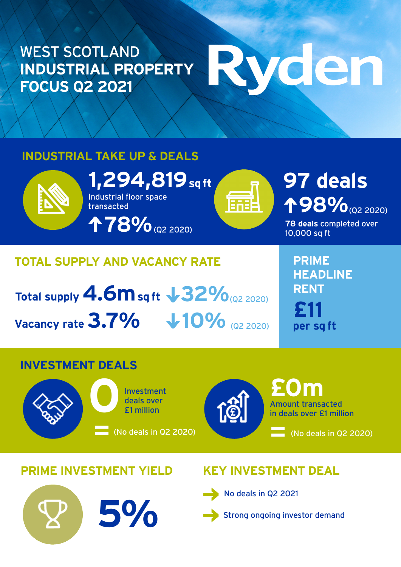### WEST SCOTLAND **INDUSTRIAL PROPERTY FOCUS Q2 2021**

# Wden

#### **INDUSTRIAL TAKE UP & DEALS**



**1,294,819** sq ft<br>Industrial floor space<br>transacted Industrial floor space transacted **78%**(Q2 2020)

## **98%** (Q2 2020)

**78 deals** completed over 10,000 sq ft

#### **TOTAL SUPPLY AND VACANCY RATE**

**Total supply 4.6m sq ft 32%** (Q2 2020) **Vacancy rate 3.7%**  $\sqrt{10\%}$  (Q2 2020)

**PRIME HEADLINE RENT £11 per sq ft**

#### **INVESTMENT DEALS**





Amount transacted in deals over £1 million **£0m**

(No deals in Q2 2020)

#### **PRIME INVESTMENT YIELD KEY INVESTMENT DEAL**

**5%**



No deals in Q2 2021



Strong ongoing investor demand